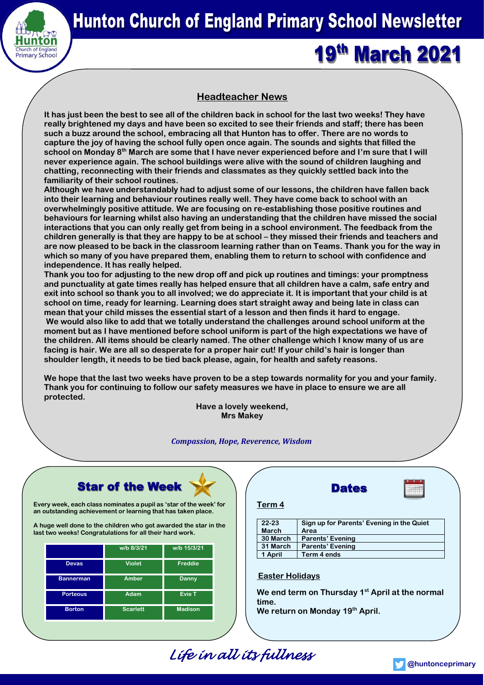

## **Hunton Church of England Primary School Newsletter**

# **19th March 2021**

### **Headteacher News**

**It has just been the best to see all of the children back in school for the last two weeks! They have really brightened my days and have been so excited to see their friends and staff; there has been such a buzz around the school, embracing all that Hunton has to offer. There are no words to capture the joy of having the school fully open once again. The sounds and sights that filled the school on Monday 8th March are some that I have never experienced before and I'm sure that I will never experience again. The school buildings were alive with the sound of children laughing and chatting, reconnecting with their friends and classmates as they quickly settled back into the familiarity of their school routines.** 

**Although we have understandably had to adjust some of our lessons, the children have fallen back into their learning and behaviour routines really well. They have come back to school with an overwhelmingly positive attitude. We are focusing on re-establishing those positive routines and behaviours for learning whilst also having an understanding that the children have missed the social interactions that you can only really get from being in a school environment. The feedback from the children generally is that they are happy to be at school – they missed their friends and teachers and are now pleased to be back in the classroom learning rather than on Teams. Thank you for the way in which so many of you have prepared them, enabling them to return to school with confidence and independence. It has really helped.**

**Thank you too for adjusting to the new drop off and pick up routines and timings: your promptness and punctuality at gate times really has helped ensure that all children have a calm, safe entry and exit into school so thank you to all involved; we do appreciate it. It is important that your child is at school on time, ready for learning. Learning does start straight away and being late in class can mean that your child misses the essential start of a lesson and then finds it hard to engage. We would also like to add that we totally understand the challenges around school uniform at the moment but as I have mentioned before school uniform is part of the high expectations we have of the children. All items should be clearly named. The other challenge which I know many of us are facing is hair. We are all so desperate for a proper hair cut! If your child's hair is longer than shoulder length, it needs to be tied back please, again, for health and safety reasons.** 

**We hope that the last two weeks have proven to be a step towards normality for you and your family. Thank you for continuing to follow our safety measures we have in place to ensure we are all protected.**

**Have a lovely weekend, Mrs Makey**

#### *Compassion, Hope, Reverence, Wisdom*



**Every week, each class nominates a pupil as 'star of the week' for an outstanding achievement or learning that has taken place.** 

**A huge well done to the children who got awarded the star in the last two weeks! Congratulations for all their hard work.**

|                  | w/b 8/3/21      | w/b 15/3/21    |
|------------------|-----------------|----------------|
| <b>Devas</b>     | <b>Violet</b>   | Freddie        |
| <b>Bannerman</b> | Amber           | Danny          |
| <b>Porteous</b>  | Adam            | <b>Evie T</b>  |
| <b>Borton</b>    | <b>Scarlett</b> | <b>Madison</b> |

| Term 4       |                                           |
|--------------|-------------------------------------------|
| $22 - 23$    | Sign up for Parents' Evening in the Quiet |
| <b>March</b> | Area                                      |
| 30 March     | <b>Parents' Evening</b>                   |
| 31 March     | <b>Parents' Evening</b>                   |
| 1 April      | Term 4 ends                               |
|              |                                           |

**Dates** 

#### **Easter Holidays**

**We end term on Thursday 1st April at the normal time.**

**We return on Monday 19th April.**